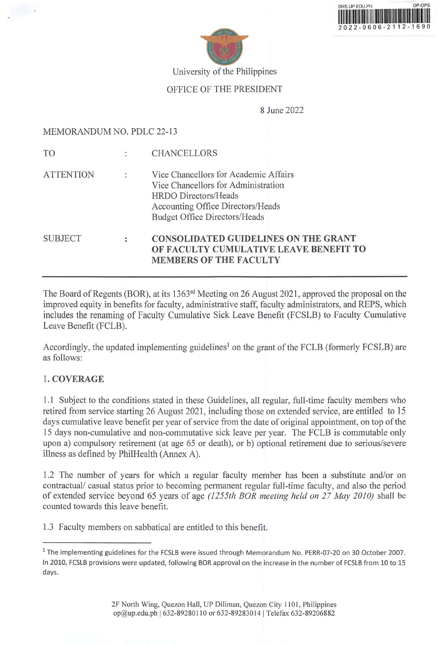| OP-OPS              |
|---------------------|
|                     |
|                     |
| 2022-0606-2112-1690 |
|                     |



University of the Philippines

## OFFICE OF THE PRESIDENT

8 June 2022

#### MEMORANDUM NO. PDLC 22-13

| <b>SUBJECT</b>   |                      | <b>CONSOLIDATED GUIDELINES ON THE GRANT</b><br>OF FACULTY CUMULATIVE LEAVE BENEFIT TO<br><b>MEMBERS OF THE FACULTY</b>                                                            |
|------------------|----------------------|-----------------------------------------------------------------------------------------------------------------------------------------------------------------------------------|
| <b>ATTENTION</b> | $\ddot{\cdot}$       | Vice Chancellors for Academic Affairs<br>Vice Chancellors for Administration<br>HRDO Directors/Heads<br>Accounting Office Directors/Heads<br><b>Budget Office Directors/Heads</b> |
| T <sub>O</sub>   | $\ddot{\phantom{a}}$ | <b>CHANCELLORS</b>                                                                                                                                                                |

The Board of Regents (BOR), at its 1363<sup>rd</sup> Meeting on 26 August 2021, approved the proposal on the improved equity in benefits for faculty, administrative staff, faculty administrators, and REPS, which includes the renaming of Faculty Cumulative Sick Leave Benefit (FCSLB) to Faculty Cumulative Leave Benefit (FCLB).

Accordingly, the updated implementing guidelines<sup>1</sup> on the grant of the FCLB (formerly FCSLB) are as follows:

## 1. COVERAGE

1.1 Subject to the conditions stated in these Guidelines, all regular, full-time faculty members who retired from service starting 26 August 2021, including those on extended service, are entitled to 15 days cumulative leave benefit per year of service from the date of original appointment, on top of the 15 days non-cumulative and non-commutative sick leave per year. The FCLB is commutable only upon a) compulsory retirement (at age 65 or death), or b) optional retirement due to serious/severe illness as defined by PhilHealth (Annex A).

1.2 The number of years for which a regular faculty member has been a substitute and/or on contractual/ casual status prior to becoming permanent regular full-time faculty, and also the period of extended service beyond 65 years of age (1255th BOR meeting held on 27 May 2010) shall be counted towards this leave benefit.

1.3 Faculty members on sabbatical are entitled to this benefit.

<sup>&</sup>lt;sup>1</sup> The implementing guidelines for the FCSLB were issued through Memorandum No. PERR-07-20 on 30 October 2007. In 2010, FCSLB provisions were updated, following BOR approval on the increase in the number of FCSLB from 10 to 15 days.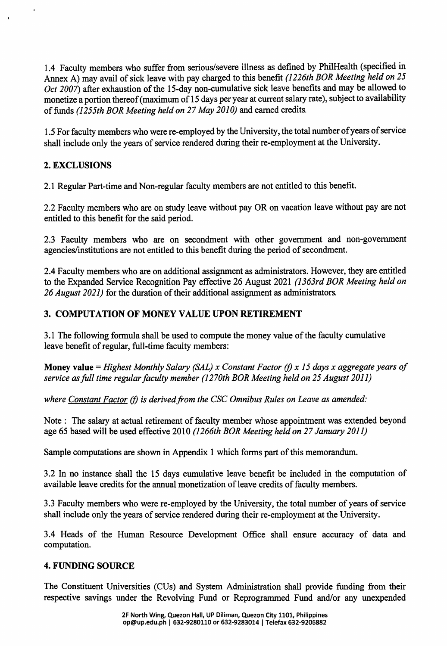1.4 Faculty members who suffer from serious/severe illness as defined by PhilHealth (specified in Annex A) may avail of sick leave with pay charged to this benefit (1226th BOR Meeting held on 25 Oct 2007) after exhaustion of the 15-day non-cumulative sick leave benefits and may be allowed to monetize a portion thereof (maximum of 15 days per year at current salary rate), subject to availability of funds (1255th BOR Meeting held on 27 May 2010) and earned credits.

1.5 For faculty members who were re-employed by the University, the total number of years of service shall include only the years of service rendered during their re-employment at the University.

## 2. EXCLUSIONS

 $\epsilon$ 

2.1 Regular Part-time and Non-regular faculty members are not entitled to this benefit.

2.2 Faculty members who are on study leave without pay OR on vacation leave without pay are not entitled to this benefit for the said period.

2.3 Faculty members who are on secondment with other government and non-government agencies/institutions are not entitled to this benefit during the period of secondment.

2.4 Faculty members who are on additional assignment as administrators. However, they are entitled to the Expanded Service Recognition Pay effective 26 August 2021 (1363rd BOR Meeting held on 26 August 2021) for the duration of their additional assignment as administrators.

## 3. COMPUTATION OF MONEY VALUE UPON RETIREMENT

3.1 The following formula shall be used to compute the money value of the faculty cumulative leave benefit of regular, full-time faculty members:

Money value = Highest Monthly Salary (SAL) x Constant Factor (f) x 15 days x aggregate years of service as full time regular faculty member (1270th BOR Meeting held on 25 August 2011)

where Constant Factor (f) is derived from the CSC Omnibus Rules on Leave as amended:

Note : The salary at actual retirement of faculty member whose appointment was extended beyond age 65 based will be used effective 2010 (1266th BOR Meeting held on 27 January 2011)

Sample computations are shown in Appendix 1 which forms part of this memorandum.

3.2 In no instance shall the 15 days cumulative leave benefit be included in the computation of available leave credits for the annual monetization of leave credits of faculty members.

3.3 Faculty members who were re-employed by the University, the total number of years of service shall include only the years of service rendered during their re-employment at the University.

3.4 Heads of the Human Resource Development Office shall ensure accuracy of data and computation.

## 4. FUNDING SOURCE

The Constituent Universities (CUs) and System Administration shall provide funding from their respective savings under the Revolving Fund or Reprogrammed Fund and/or any unexpended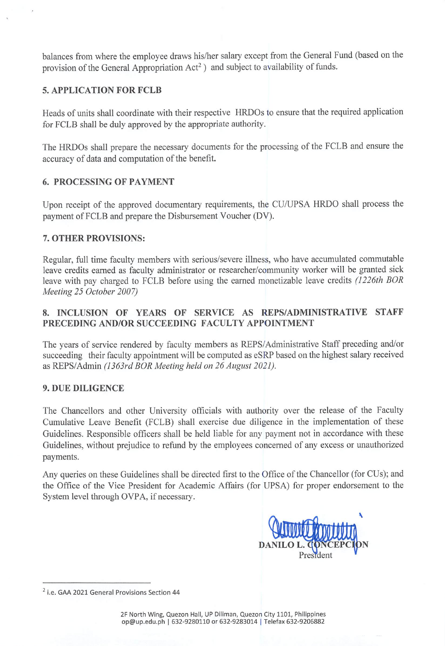balances from where the employee draws his/her salary except from the General Fund (based on the provision of the General Appropriation Act<sup>2</sup>) and subject to availability of funds.

## 5. APPLICATION FOR FCLB

Heads of units shall coordinate with their respective HROOs to ensure that the required application for FCLB shall be duly approved by the appropriate authority.

The HRDOs shall prepare the necessary documents for the processing of the FCLB and ensure the accuracy of data and computation of the benefit.

## 6. PROCESSING OF PAYMENT

Upon receipt of the approved documentary requirements, the CU/UPSA HRDO shall process the payment of FCLB and prepare the Disbursement Voucher (DV).

## 7. OTHER PROVISIONS:

Regular, full time faculty members with serious/severe illness, who have accumulated commutable leave credits earned as faculty administrator or researcher/community worker will be granted sick leave with pay charged to FCLB before using the earned monetizable leave credits (1226th BOR Meeting 25 October 2007)

## 8. INCLUSION OF YEARS OF SERVICE AS REPS/ADMINISTRATIVE STAFF PRECEDING AND/OR SUCCEEDING FACULTY APPOINTMENT

The years of service rendered by faculty members as REPS/Administrative Staff preceding and/or succeeding their faculty appointment will be computed as eSRP based on the highest salary received as REPS/Admin (1363rd BOR Meeting held on 26 August 2021).

#### 9. DUE DILIGENCE

The Chancellors and other University officials with authority over the release of the Faculty Cumulative Leave Benefit (FCLB) shall exercise due diligence in the implementation of these Guidelines. Responsible officers shall be held liable for any payment not in accordance with these Guidelines, without prejudice to refund by the employees concerned of any excess or unauthorized payments.

Any queries on these Guidelines shall be directed first to the Office of the Chancellor (for CUs); and the Office of the Vice President for Academic Affairs (for UPSA) for proper endorsement to the System level through OVPA, if necessary.



 $2$  i.e. GAA 2021 General Provisions Section 44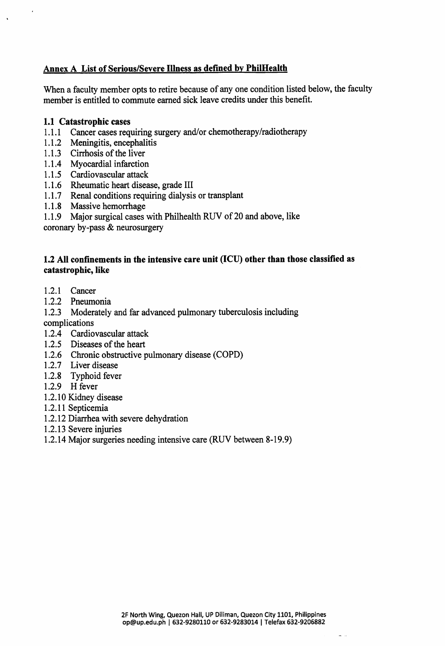## Annex A List of Serious/Severe Illness as defined bv PhilHealth

When a faculty member opts to retire because of any one condition listed below, the faculty member is entitled to commute earned sick leave credits under this benefit.

#### 1.1 Catastrophic cases

 $\cdot$ 

- 1.1.1 Cancer cases requiring surgery and/or chemotherapy/radiotherapy
- 1.1.2 Meningitis, encephalitis
- 1.1.3 Cirrhosis of the liver
- 1.1.4 Myocardial infarction
- 1.1.5 Cardiovascular attack
- 1.1.6 Kneumatic neart disease, grade III
- 1.1.7 Renal conditions requiring dialysis or transplant
- 1.1.8 Massive hemorrhage
- Major surgical cases with Philhealth RUV of 20 and above, like 1.1.9

coronary by-pass & neurosurgery

#### 1.2 All confinements in the intensive care unit (ICU) other than those classified as catastrophic, like

- 1.2.1 Cancer
- 1.2.2 Pneumonia
- 1.2.3 Moderately and far advanced pulmonary tuberculosis including

complications

- 1.2.4 Cardiovascular attack
- 1.2.5 Diseases of the heart
- 1.2.6 Chronic obstructive pulmonary disease (COPD)
- 1.2.7 Liver disease
- 1.2.8 Typhoid fever
- 1.2.9 H fever
- 1.2.10 Kidney disease
- 1.2.11 Septicemia
- 1.2.12 Diarrhea with severe dehydration
- 1.2.13 Severe injuries
- 1.2.14 Major surgeries needing intensive care (RUV between 8-19.9)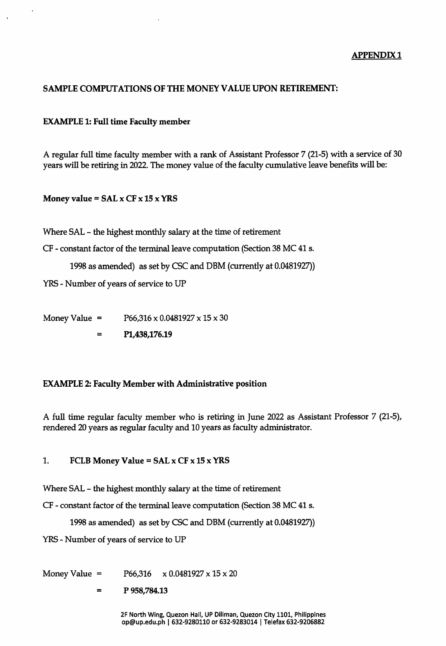#### APPENDIX 1

## SAMPLE COMPUTATIONS OF THE MONEY VALUE UPON RETIREMENT:

#### EXAMPLE 1: Full time Faculty member

A regular full time faculty member with a rank of Assistant Professor 7 (21-5) with a service of 30 years will be retiring in 2022. The money value of the faculty cumulative leave benefits will be:

#### Money value =  $SAL \times CF \times 15 \times YRS$

Where SAL - the highest monthly salary at the time of retirement

CF - constant factor of the terminal leave computation (Section 38 MC 41 s.

1998 as amended) as set by CSC and DBM (currently at 0.0481927))

YRS - Number of years of service to UP

Money Value =  $P66,316 \times 0.0481927 \times 15 \times 30$ 

Pl,438,176.19  $\equiv$ 

#### EXAMPLE 2: Faculty Member with Administrative position

A full time regular faculty member who is retiring in June 2022 as Assistant Professor 7 (21-5), rendered 20 years as regular faculty and 10 years as faculty administrator.

#### 1. FCLB Money Value =  $SAL \times CF \times 15 \times YRS$

Where SAL - the highest monthly salary at the time of retirement

CF - constant factor of the terminal leave computation (Section 38 MC 41 s.

1998 as amended) as set by CSC and DBM (currently at 0.0481927))

YRS - Number of years of service to UP

Money Value =  $P66,316 \times 0.0481927 \times 15 \times 20$ 

P 958,784.13  $=$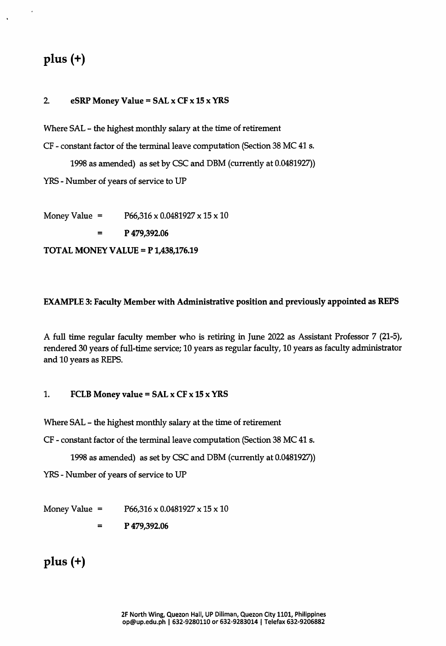# plus (+)

#### 2. eSRP Money Value =  $SAL \times CF \times 15 \times YRS$

Where SAL - the highest monthly salary at the time of retirement

CF - constant factor of the terminal leave computation (Section 38 MC 41 s.

1998 as amended) as set by CSC and DBM (currently at 0.0481927))

YRS - Number of years of service to UP

Money Value =  $P66,316 \times 0.0481927 \times 15 \times 10$ 

P 479,392.06

TOTAL MONEY VALUE = P 1,438,176.19

#### EXAMPLE 3: Faculty Member with Administrative position and previously appointed as REPS

A full time regular faculty member who is retiring in June 2022 as Assistant Professor 7 (21-5), rendered 30 years of full-time service; 10 years as regular faculty, 10 years as faculty administrator and 10 years as REPS.

#### 1. FCLB Money value =  $SAL \times CF \times 15 \times YRS$

Where SAL - the highest monthly salary at the time of retirement

CF - constant factor of the terminal leave computation (Section 38 MC 41 s.

1998 as amended) as set by CSC and DBM (currently at 0.0481927))

YRS - Number of years of service to UP

Money Value =  $P66,316 \times 0.0481927 \times 15 \times 10$ 

P 479,392.06  $=$ 

## plus (+)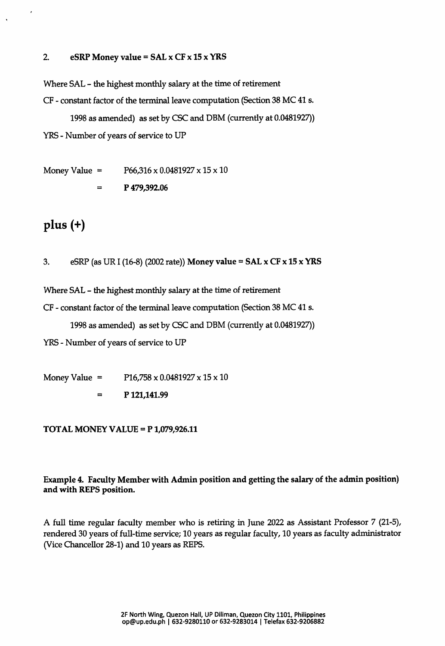#### 2. eSRP Money value = SAL  $\times$  CF  $\times$  15  $\times$  YRS

Where SAL - the highest monthly salary at the time of retirement CF - constant factor of the terminal leave computation (Section 38 MC 41 s.

1998 as amended) as set by CSC and DBM (currently at 0.0481927)) YRS - Number of years of service to UP

Money Value =  $P66,316 \times 0.0481927 \times 15 \times 10$ 

P 479,392.06  $\equiv$ 

# plus (+)

3. eSRP (as UR I (16-8) (2002 rate)) Money value =  $SAL \times CF \times 15 \times YRS$ 

Where SAL - the highest monthly salary at the time of retirement

CF - constant factor of the terminal leave computation (Section 38 MC 41 s.

1998 as amended) as set by CSC and DBM (currently at 0.0481927))

YRS - Number of years of service to UP

Money Value =  $P16,758 \times 0.0481927 \times 15 \times 10$  $\equiv$ P 121,141.99

#### TOTAL MONEY VALUE = P 1,079,926.11

## Example 4. Faculty Member with Admin position and getting the salary of the admin position) and with REPS position.

A full time regular faculty member who is retiring in June 2022 as Assistant Professor 7 (21-5), rendered 30 years of full-time service; 10 years as regular faculty, 10 years as faculty administrator (Vice Chancellor 28-1) and 10 years as REPS.